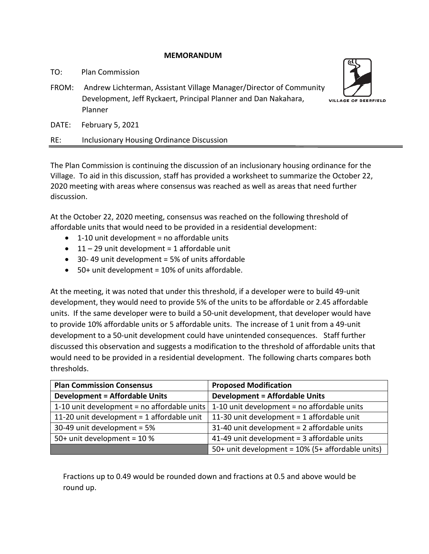### **MEMORANDUM**

TO: Plan Commission

FROM: Andrew Lichterman, Assistant Village Manager/Director of Community Development, Jeff Ryckaert, Principal Planner and Dan Nakahara, Planner



DATE: February 5, 2021

## RE: Inclusionary Housing Ordinance Discussion

The Plan Commission is continuing the discussion of an inclusionary housing ordinance for the Village. To aid in this discussion, staff has provided a worksheet to summarize the October 22, 2020 meeting with areas where consensus was reached as well as areas that need further discussion.

At the October 22, 2020 meeting, consensus was reached on the following threshold of affordable units that would need to be provided in a residential development:

- $\bullet$  1-10 unit development = no affordable units
- $\bullet$  11 29 unit development = 1 affordable unit
- 30- 49 unit development = 5% of units affordable
- $\bullet$  50+ unit development = 10% of units affordable.

At the meeting, it was noted that under this threshold, if a developer were to build 49-unit development, they would need to provide 5% of the units to be affordable or 2.45 affordable units. If the same developer were to build a 50-unit development, that developer would have to provide 10% affordable units or 5 affordable units. The increase of 1 unit from a 49-unit development to a 50-unit development could have unintended consequences. Staff further discussed this observation and suggests a modification to the threshold of affordable units that would need to be provided in a residential development. The following charts compares both thresholds.

| <b>Plan Commission Consensus</b>                | <b>Proposed Modification</b>                     |
|-------------------------------------------------|--------------------------------------------------|
| <b>Development = Affordable Units</b>           | <b>Development = Affordable Units</b>            |
| 1-10 unit development = no affordable units $ $ | 1-10 unit development = no affordable units      |
| 11-20 unit development = 1 affordable unit      | 11-30 unit development = 1 affordable unit       |
| 30-49 unit development = 5%                     | 31-40 unit development = 2 affordable units      |
| 50+ unit development = 10 %                     | 41-49 unit development = 3 affordable units      |
|                                                 | 50+ unit development = 10% (5+ affordable units) |

Fractions up to 0.49 would be rounded down and fractions at 0.5 and above would be round up.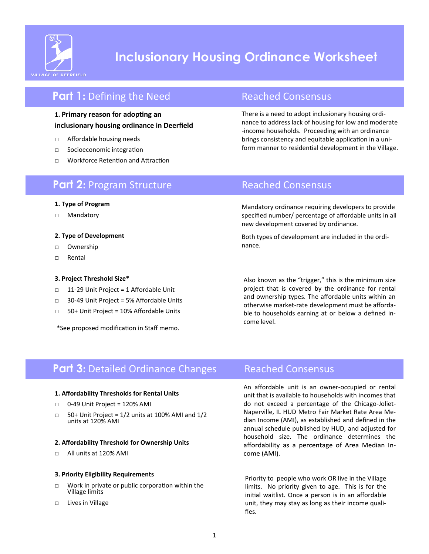

# **Inclusionary Housing Ordinance Worksheet**

## **Part 1:** Defining the Need Reached Consensus

### **1. Primary reason for adopting an inclusionary housing ordinance in Deerfield**

- □ Affordable housing needs
- □ Socioeconomic integration
- □ Workforce Retention and Attraction

There is a need to adopt inclusionary housing ordinance to address lack of housing for low and moderate -income households. Proceeding with an ordinance brings consistency and equitable application in a uniform manner to residential development in the Village.

## **Part 2:** Program Structure Reached Consensus

#### **1. Type of Program**

□ Mandatory

#### **2. Type of Development**

- □ Ownership
- □ Rental

### **3. Project Threshold Size\***

- □ 11-29 Unit Project = 1 Affordable Unit
- □ 30-49 Unit Project = 5% Affordable Units
- □ 50+ Unit Project = 10% Affordable Units

\*See proposed modification in Staff memo.

Mandatory ordinance requiring developers to provide specified number/ percentage of affordable units in all new development covered by ordinance.

Both types of development are included in the ordinance.

Also known as the "trigger," this is the minimum size project that is covered by the ordinance for rental and ownership types. The affordable units within an otherwise market-rate development must be affordable to households earning at or below a defined income level.

## **Part 3:** Detailed Ordinance Changes Reached Consensus

#### **1. Affordability Thresholds for Rental Units**

- 0-49 Unit Project = 120% AMI
- $\Box$  50+ Unit Project = 1/2 units at 100% AMI and 1/2 units at 120% AMI

#### **2. Affordability Threshold for Ownership Units**

□ All units at 120% AMI

#### **3. Priority Eligibility Requirements**

- □ Work in private or public corporation within the Village limits
- □ Lives in Village

An affordable unit is an owner-occupied or rental unit that is available to households with incomes that do not exceed a percentage of the Chicago-Joliet-Naperville, IL HUD Metro Fair Market Rate Area Median Income (AMI), as established and defined in the annual schedule published by HUD, and adjusted for household size. The ordinance determines the affordability as a percentage of Area Median Income (AMI).

Priority to people who work OR live in the Village limits. No priority given to age. This is for the initial waitlist. Once a person is in an affordable unit, they may stay as long as their income qualifies.